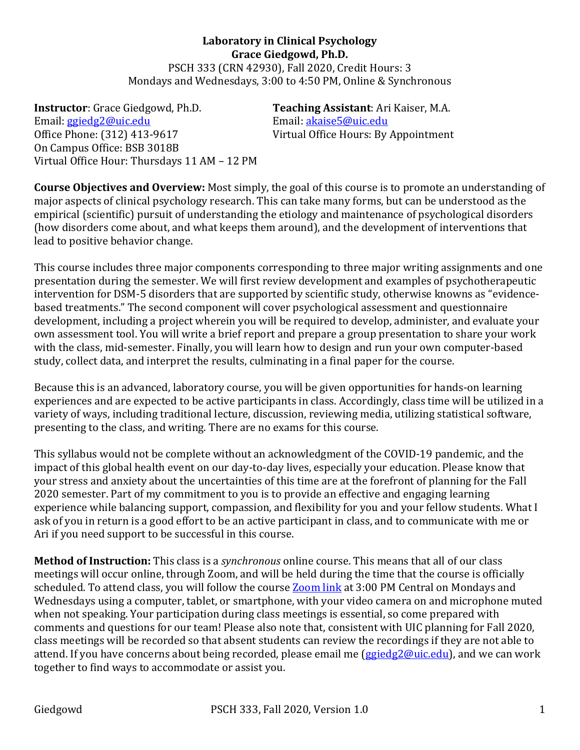**Laboratory in Clinical Psychology Grace Giedgowd, Ph.D.** PSCH 333 (CRN 42930), Fall 2020, Credit Hours: 3 Mondays and Wednesdays, 3:00 to 4:50 PM, Online & Synchronous

**Instructor**: Grace Giedgowd, Ph.D. **Teaching Assistant**: Ari Kaiser, M.A. Email: ggiedg2@uic.edu Email: akaise5@uic.edu Office Phone: (312) 413-9617 Virtual Office Hours: By Appointment On Campus Office: BSB 3018B Virtual Office Hour: Thursdays 11 AM - 12 PM

**Course Objectives and Overview:** Most simply, the goal of this course is to promote an understanding of major aspects of clinical psychology research. This can take many forms, but can be understood as the empirical (scientific) pursuit of understanding the etiology and maintenance of psychological disorders (how disorders come about, and what keeps them around), and the development of interventions that lead to positive behavior change.

This course includes three major components corresponding to three major writing assignments and one presentation during the semester. We will first review development and examples of psychotherapeutic intervention for DSM-5 disorders that are supported by scientific study, otherwise knowns as "evidencebased treatments." The second component will cover psychological assessment and questionnaire development, including a project wherein you will be required to develop, administer, and evaluate your own assessment tool. You will write a brief report and prepare a group presentation to share your work with the class, mid-semester. Finally, you will learn how to design and run your own computer-based study, collect data, and interpret the results, culminating in a final paper for the course.

Because this is an advanced, laboratory course, you will be given opportunities for hands-on learning experiences and are expected to be active participants in class. Accordingly, class time will be utilized in a variety of ways, including traditional lecture, discussion, reviewing media, utilizing statistical software, presenting to the class, and writing. There are no exams for this course.

This syllabus would not be complete without an acknowledgment of the COVID-19 pandemic, and the impact of this global health event on our day-to-day lives, especially your education. Please know that your stress and anxiety about the uncertainties of this time are at the forefront of planning for the Fall 2020 semester. Part of my commitment to you is to provide an effective and engaging learning experience while balancing support, compassion, and flexibility for you and your fellow students. What I ask of you in return is a good effort to be an active participant in class, and to communicate with me or Ari if you need support to be successful in this course.

**Method of Instruction:** This class is a *synchronous* online course. This means that all of our class meetings will occur online, through Zoom, and will be held during the time that the course is officially scheduled. To attend class, you will follow the course **Zoom link** at 3:00 PM Central on Mondays and Wednesdays using a computer, tablet, or smartphone, with your video camera on and microphone muted when not speaking. Your participation during class meetings is essential, so come prepared with comments and questions for our team! Please also note that, consistent with UIC planning for Fall 2020, class meetings will be recorded so that absent students can review the recordings if they are not able to attend. If you have concerns about being recorded, please email me (ggiedg2@uic.edu), and we can work together to find ways to accommodate or assist you.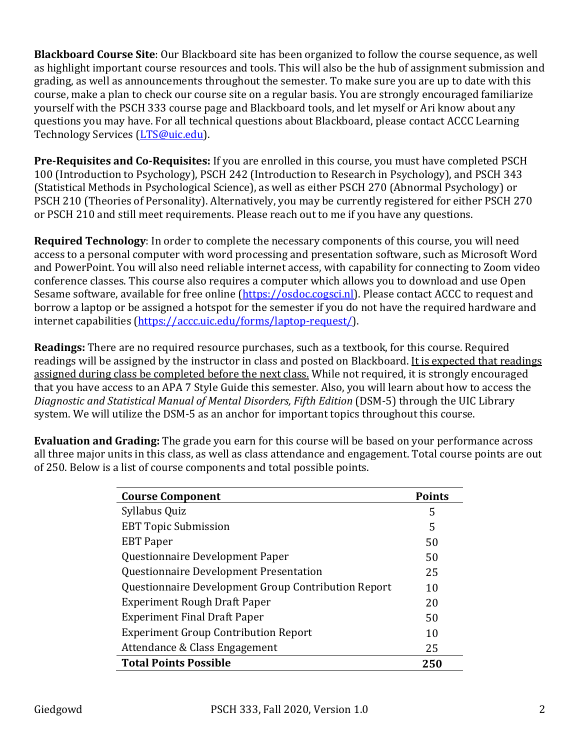**Blackboard Course Site**: Our Blackboard site has been organized to follow the course sequence, as well as highlight important course resources and tools. This will also be the hub of assignment submission and grading, as well as announcements throughout the semester. To make sure you are up to date with this course, make a plan to check our course site on a regular basis. You are strongly encouraged familiarize yourself with the PSCH 333 course page and Blackboard tools, and let myself or Ari know about any questions you may have. For all technical questions about Blackboard, please contact ACCC Learning Technology Services (LTS@uic.edu).

**Pre-Requisites and Co-Requisites:** If you are enrolled in this course, you must have completed PSCH 100 (Introduction to Psychology), PSCH 242 (Introduction to Research in Psychology), and PSCH 343 (Statistical Methods in Psychological Science), as well as either PSCH 270 (Abnormal Psychology) or PSCH 210 (Theories of Personality). Alternatively, you may be currently registered for either PSCH 270 or PSCH 210 and still meet requirements. Please reach out to me if you have any questions.

**Required Technology**: In order to complete the necessary components of this course, you will need access to a personal computer with word processing and presentation software, such as Microsoft Word and PowerPoint. You will also need reliable internet access, with capability for connecting to Zoom video conference classes. This course also requires a computer which allows you to download and use Open Sesame software, available for free online (https://osdoc.cogsci.nl). Please contact ACCC to request and borrow a laptop or be assigned a hotspot for the semester if you do not have the required hardware and internet capabilities (https://accc.uic.edu/forms/laptop-request/).

**Readings:** There are no required resource purchases, such as a textbook, for this course. Required readings will be assigned by the instructor in class and posted on Blackboard. It is expected that readings assigned during class be completed before the next class. While not required, it is strongly encouraged that you have access to an APA 7 Style Guide this semester. Also, you will learn about how to access the Diagnostic and Statistical Manual of Mental Disorders, Fifth Edition (DSM-5) through the UIC Library system. We will utilize the DSM-5 as an anchor for important topics throughout this course.

**Evaluation and Grading:** The grade you earn for this course will be based on your performance across all three major units in this class, as well as class attendance and engagement. Total course points are out of 250. Below is a list of course components and total possible points.

| <b>Course Component</b>                             | <b>Points</b> |
|-----------------------------------------------------|---------------|
| Syllabus Quiz                                       | 5             |
| <b>EBT Topic Submission</b>                         | 5             |
| <b>EBT</b> Paper                                    | 50            |
| Questionnaire Development Paper                     | 50            |
| Questionnaire Development Presentation              | 25            |
| Questionnaire Development Group Contribution Report | 10            |
| <b>Experiment Rough Draft Paper</b>                 | 20            |
| <b>Experiment Final Draft Paper</b>                 | 50            |
| <b>Experiment Group Contribution Report</b>         | 10            |
| Attendance & Class Engagement                       | 25            |
| <b>Total Points Possible</b>                        | 250           |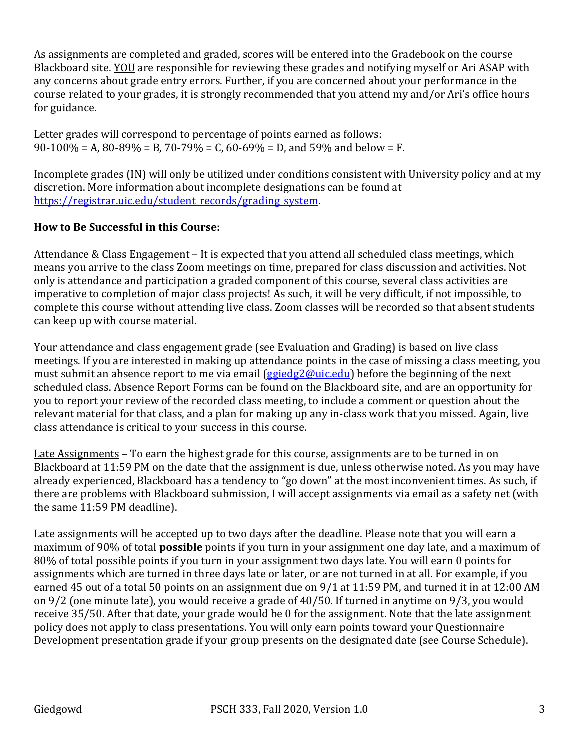As assignments are completed and graded, scores will be entered into the Gradebook on the course Blackboard site. YOU are responsible for reviewing these grades and notifying myself or Ari ASAP with any concerns about grade entry errors. Further, if you are concerned about your performance in the course related to your grades, it is strongly recommended that you attend my and/or Ari's office hours for guidance.

Letter grades will correspond to percentage of points earned as follows:  $90-100\% = A$ ,  $80-89\% = B$ ,  $70-79\% = C$ ,  $60-69\% = D$ , and  $59\%$  and below = F.

Incomplete grades (IN) will only be utilized under conditions consistent with University policy and at my discretion. More information about incomplete designations can be found at https://registrar.uic.edu/student\_records/grading\_system.

## **How to Be Successful in this Course:**

Attendance & Class Engagement – It is expected that you attend all scheduled class meetings, which means you arrive to the class Zoom meetings on time, prepared for class discussion and activities. Not only is attendance and participation a graded component of this course, several class activities are imperative to completion of major class projects! As such, it will be very difficult, if not impossible, to complete this course without attending live class. Zoom classes will be recorded so that absent students can keep up with course material.

Your attendance and class engagement grade (see Evaluation and Grading) is based on live class meetings. If you are interested in making up attendance points in the case of missing a class meeting, you must submit an absence report to me via email (ggiedg2@uic.edu) before the beginning of the next scheduled class. Absence Report Forms can be found on the Blackboard site, and are an opportunity for you to report your review of the recorded class meeting, to include a comment or question about the relevant material for that class, and a plan for making up any in-class work that you missed. Again, live class attendance is critical to your success in this course.

Late Assignments – To earn the highest grade for this course, assignments are to be turned in on Blackboard at 11:59 PM on the date that the assignment is due, unless otherwise noted. As you may have already experienced, Blackboard has a tendency to "go down" at the most inconvenient times. As such, if there are problems with Blackboard submission, I will accept assignments via email as a safety net (with the same  $11:59$  PM deadline).

Late assignments will be accepted up to two days after the deadline. Please note that you will earn a maximum of 90% of total **possible** points if you turn in your assignment one day late, and a maximum of 80% of total possible points if you turn in your assignment two days late. You will earn 0 points for assignments which are turned in three days late or later, or are not turned in at all. For example, if you earned 45 out of a total 50 points on an assignment due on 9/1 at 11:59 PM, and turned it in at 12:00 AM on  $9/2$  (one minute late), you would receive a grade of  $40/50$ . If turned in anytime on  $9/3$ , you would receive 35/50. After that date, your grade would be 0 for the assignment. Note that the late assignment policy does not apply to class presentations. You will only earn points toward your Questionnaire Development presentation grade if your group presents on the designated date (see Course Schedule).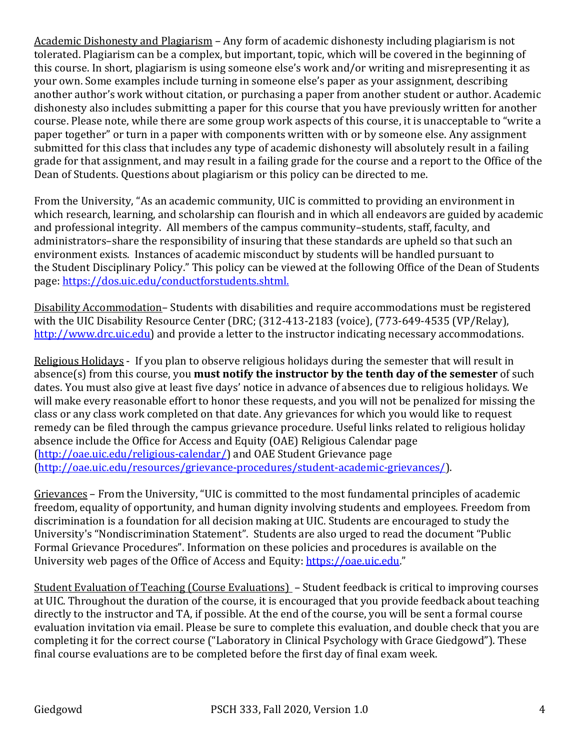Academic Dishonesty and Plagiarism – Any form of academic dishonesty including plagiarism is not tolerated. Plagiarism can be a complex, but important, topic, which will be covered in the beginning of this course. In short, plagiarism is using someone else's work and/or writing and misrepresenting it as your own. Some examples include turning in someone else's paper as your assignment, describing another author's work without citation, or purchasing a paper from another student or author. Academic dishonesty also includes submitting a paper for this course that you have previously written for another course. Please note, while there are some group work aspects of this course, it is unacceptable to "write a paper together" or turn in a paper with components written with or by someone else. Any assignment submitted for this class that includes any type of academic dishonesty will absolutely result in a failing grade for that assignment, and may result in a failing grade for the course and a report to the Office of the Dean of Students. Questions about plagiarism or this policy can be directed to me.

From the University, "As an academic community, UIC is committed to providing an environment in which research, learning, and scholarship can flourish and in which all endeavors are guided by academic and professional integrity. All members of the campus community-students, staff, faculty, and administrators-share the responsibility of insuring that these standards are upheld so that such an environment exists. Instances of academic misconduct by students will be handled pursuant to the Student Disciplinary Policy." This policy can be viewed at the following Office of the Dean of Students page: https://dos.uic.edu/conductforstudents.shtml.

Disability Accommodation-Students with disabilities and require accommodations must be registered with the UIC Disability Resource Center (DRC; (312-413-2183 (voice), (773-649-4535 (VP/Relay), http://www.drc.uic.edu) and provide a letter to the instructor indicating necessary accommodations.

Religious Holidays - If you plan to observe religious holidays during the semester that will result in absence(s) from this course, you **must notify the instructor by the tenth day of the semester** of such dates. You must also give at least five days' notice in advance of absences due to religious holidays. We will make every reasonable effort to honor these requests, and you will not be penalized for missing the class or any class work completed on that date. Any grievances for which you would like to request remedy can be filed through the campus grievance procedure. Useful links related to religious holiday absence include the Office for Access and Equity (OAE) Religious Calendar page (http://oae.uic.edu/religious-calendar/) and OAE Student Grievance page (http://oae.uic.edu/resources/grievance-procedures/student-academic-grievances/). 

Grievances - From the University, "UIC is committed to the most fundamental principles of academic freedom, equality of opportunity, and human dignity involving students and employees. Freedom from discrimination is a foundation for all decision making at UIC. Students are encouraged to study the University's "Nondiscrimination Statement". Students are also urged to read the document "Public Formal Grievance Procedures". Information on these policies and procedures is available on the University web pages of the Office of Access and Equity: https://oae.uic.edu."

Student Evaluation of Teaching  $(Course\;Evaluations) - Student\;feedback\; is\; critical\; to\; improving\; courses$ at UIC. Throughout the duration of the course, it is encouraged that you provide feedback about teaching directly to the instructor and TA, if possible. At the end of the course, you will be sent a formal course evaluation invitation via email. Please be sure to complete this evaluation, and double check that you are completing it for the correct course ("Laboratory in Clinical Psychology with Grace Giedgowd"). These final course evaluations are to be completed before the first day of final exam week.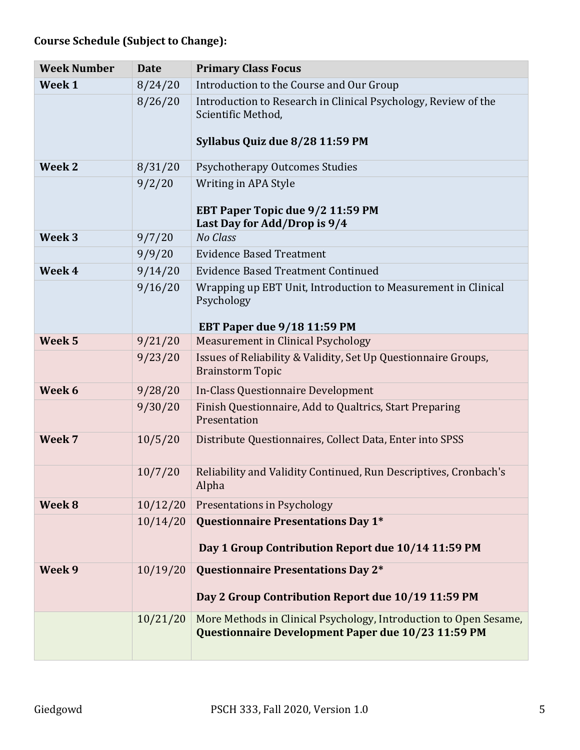## **Course Schedule (Subject to Change):**

| <b>Week Number</b> | <b>Date</b> | <b>Primary Class Focus</b>                                                                                              |
|--------------------|-------------|-------------------------------------------------------------------------------------------------------------------------|
| Week 1             | 8/24/20     | Introduction to the Course and Our Group                                                                                |
|                    | 8/26/20     | Introduction to Research in Clinical Psychology, Review of the<br>Scientific Method,<br>Syllabus Quiz due 8/28 11:59 PM |
| Week 2             | 8/31/20     | <b>Psychotherapy Outcomes Studies</b>                                                                                   |
|                    | 9/2/20      | Writing in APA Style<br>EBT Paper Topic due 9/2 11:59 PM<br>Last Day for Add/Drop is 9/4                                |
| Week <sub>3</sub>  | 9/7/20      | No Class                                                                                                                |
|                    | 9/9/20      | <b>Evidence Based Treatment</b>                                                                                         |
| Week 4             | 9/14/20     | <b>Evidence Based Treatment Continued</b>                                                                               |
|                    | 9/16/20     | Wrapping up EBT Unit, Introduction to Measurement in Clinical<br>Psychology<br><b>EBT Paper due 9/18 11:59 PM</b>       |
| Week <sub>5</sub>  | 9/21/20     | <b>Measurement in Clinical Psychology</b>                                                                               |
|                    | 9/23/20     | Issues of Reliability & Validity, Set Up Questionnaire Groups,<br><b>Brainstorm Topic</b>                               |
| Week 6             | 9/28/20     | In-Class Questionnaire Development                                                                                      |
|                    | 9/30/20     | Finish Questionnaire, Add to Qualtrics, Start Preparing<br>Presentation                                                 |
| Week 7             | 10/5/20     | Distribute Questionnaires, Collect Data, Enter into SPSS                                                                |
|                    | 10/7/20     | Reliability and Validity Continued, Run Descriptives, Cronbach's<br>Alpha                                               |
| Week 8             | 10/12/20    | <b>Presentations in Psychology</b>                                                                                      |
|                    | 10/14/20    | Questionnaire Presentations Day 1*<br>Day 1 Group Contribution Report due 10/14 11:59 PM                                |
| Week 9             | 10/19/20    | Questionnaire Presentations Day 2*<br>Day 2 Group Contribution Report due 10/19 11:59 PM                                |
|                    | 10/21/20    | More Methods in Clinical Psychology, Introduction to Open Sesame,<br>Questionnaire Development Paper due 10/23 11:59 PM |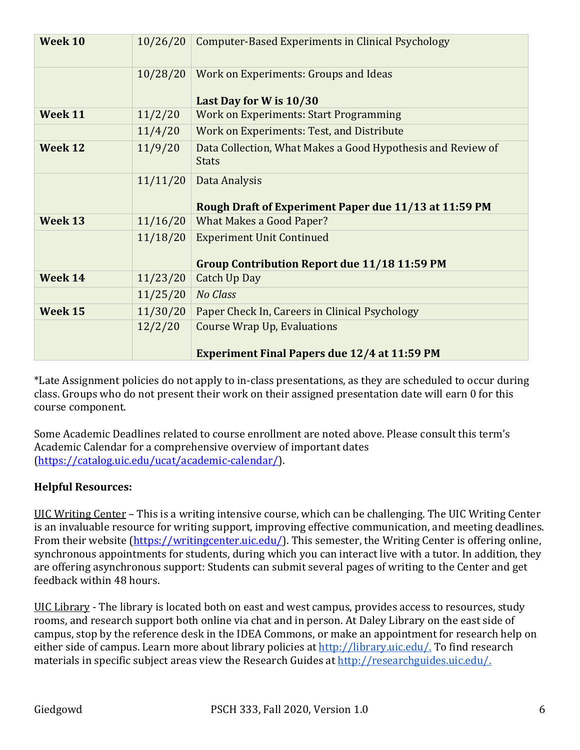| Week 10 | 10/26/20 | Computer-Based Experiments in Clinical Psychology                                         |
|---------|----------|-------------------------------------------------------------------------------------------|
|         | 10/28/20 | Work on Experiments: Groups and Ideas<br>Last Day for W is 10/30                          |
| Week 11 | 11/2/20  | <b>Work on Experiments: Start Programming</b>                                             |
|         | 11/4/20  | Work on Experiments: Test, and Distribute                                                 |
| Week 12 | 11/9/20  | Data Collection, What Makes a Good Hypothesis and Review of<br><b>Stats</b>               |
|         | 11/11/20 | Data Analysis<br>Rough Draft of Experiment Paper due 11/13 at 11:59 PM                    |
| Week 13 | 11/16/20 | <b>What Makes a Good Paper?</b>                                                           |
|         | 11/18/20 | <b>Experiment Unit Continued</b><br><b>Group Contribution Report due 11/18 11:59 PM</b>   |
| Week 14 | 11/23/20 | <b>Catch Up Day</b>                                                                       |
|         | 11/25/20 | <b>No Class</b>                                                                           |
| Week 15 | 11/30/20 | Paper Check In, Careers in Clinical Psychology                                            |
|         | 12/2/20  | <b>Course Wrap Up, Evaluations</b><br><b>Experiment Final Papers due 12/4 at 11:59 PM</b> |

\*Late Assignment policies do not apply to in-class presentations, as they are scheduled to occur during class. Groups who do not present their work on their assigned presentation date will earn 0 for this course component.

Some Academic Deadlines related to course enrollment are noted above. Please consult this term's Academic Calendar for a comprehensive overview of important dates (https://catalog.uic.edu/ucat/academic-calendar/). 

## **Helpful Resources:**

UIC Writing Center - This is a writing intensive course, which can be challenging. The UIC Writing Center is an invaluable resource for writing support, improving effective communication, and meeting deadlines. From their website  $(\frac{https://writingcenter.uic.edu/}{https://writingcenter.uic.edu/})$ . This semester, the Writing Center is offering online, synchronous appointments for students, during which you can interact live with a tutor. In addition, they are offering asynchronous support: Students can submit several pages of writing to the Center and get feedback within 48 hours.

UIC Library - The library is located both on east and west campus, provides access to resources, study rooms, and research support both online via chat and in person. At Daley Library on the east side of campus, stop by the reference desk in the IDEA Commons, or make an appointment for research help on either side of campus. Learn more about library policies at http://library.uic.edu/. To find research materials in specific subject areas view the Research Guides at http://researchguides.uic.edu/.